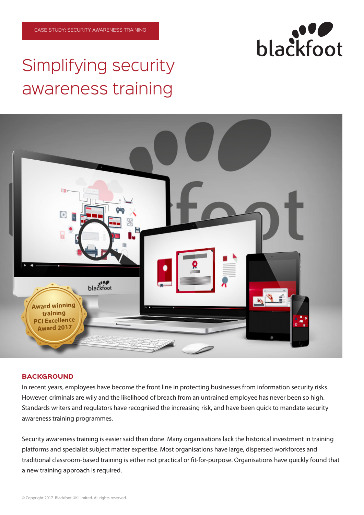# Simplifying security awareness training



# **BACKGROUND**

In recent years, employees have become the front line in protecting businesses from information security risks. However, criminals are wily and the likelihood of breach from an untrained employee has never been so high. Standards writers and regulators have recognised the increasing risk, and have been quick to mandate security awareness training programmes.

Security awareness training is easier said than done. Many organisations lack the historical investment in training platforms and specialist subject matter expertise. Most organisations have large, dispersed workforces and traditional classroom-based training is either not practical or fit-for-purpose. Organisations have quickly found that a new training approach is required.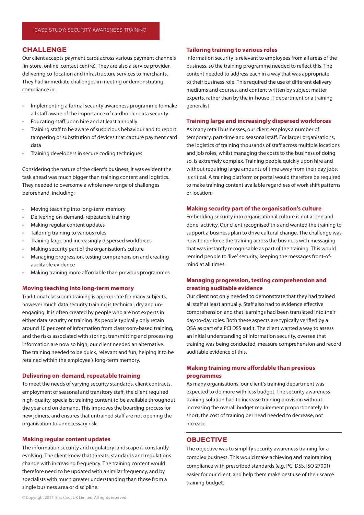## CHALLENGE

Our client accepts payment cards across various payment channels (in-store, online, contact centre). They are also a service provider, delivering co-location and infrastructure services to merchants. They had immediate challenges in meeting or demonstrating compliance in:

- Implementing a formal security awareness programme to make all staff aware of the importance of cardholder data security
- Educating staff upon hire and at least annually
- Training staff to be aware of suspicious behaviour and to report tampering or substitution of devices that capture payment card data
- Training developers in secure coding techniques

Considering the nature of the client's business, it was evident the task ahead was much bigger than training content and logistics. They needed to overcome a whole new range of challenges beforehand, including:

- Moving teaching into long-term memory
- Delivering on-demand, repeatable training
- Making regular content updates
- Tailoring training to various roles
- Training large and increasingly dispersed workforces
- Making security part of the organisation's culture
- Managing progression, testing comprehension and creating auditable evidence
- Making training more affordable than previous programmes

## **Moving teaching into long-term memory**

Traditional classroom training is appropriate for many subjects, however much data security training is technical, dry and unengaging. It is often created by people who are not experts in either data security or training. As people typically only retain around 10 per cent of information from classroom-based training, and the risks associated with storing, transmitting and processing information are now so high, our client needed an alternative. The training needed to be quick, relevant and fun, helping it to be retained within the employee's long-term memory.

## **Delivering on-demand, repeatable training**

To meet the needs of varying security standards, client contracts, employment of seasonal and transitory staff, the client required high-quality, specialist training content to be available throughout the year and on demand. This improves the boarding process for new joiners, and ensures that untrained staff are not opening the organisation to unnecessary risk.

## **Making regular content updates**

The information security and regulatory landscape is constantly evolving. The client knew that threats, standards and regulations change with increasing frequency. The training content would therefore need to be updated with a similar frequency, and by specialists with much greater understanding than those from a single business area or discipline.

## **Tailoring training to various roles**

Information security is relevant to employees from all areas of the business, so the training programme needed to reflect this. The content needed to address each in a way that was appropriate to their business role. This required the use of different delivery mediums and courses, and content written by subject matter experts, rather than by the in-house IT department or a training generalist.

## **Training large and increasingly dispersed workforces**

As many retail businesses, our client employs a number of temporary, part-time and seasonal staff. For larger organisations, the logistics of training thousands of staff across multiple locations and job roles, whilst managing the costs to the business of doing so, is extremely complex. Training people quickly upon hire and without requiring large amounts of time away from their day jobs, is critical. A training platform or portal would therefore be required to make training content available regardless of work shift patterns or location.

#### **Making security part of the organisation's culture**

Embedding security into organisational culture is not a 'one and done' activity. Our client recognised this and wanted the training to support a business plan to drive cultural change. The challenge was how to reinforce the training across the business with messaging that was instantly recognisable as part of the training. This would remind people to 'live' security, keeping the messages front-ofmind at all times.

# **Managing progression, testing comprehension and creating auditable evidence**

Our client not only needed to demonstrate that they had trained all staff at least annually. Staff also had to evidence effective comprehension and that learnings had been translated into their day-to-day roles. Both these aspects are typically verified by a QSA as part of a PCI DSS audit. The client wanted a way to assess an initial understanding of information security, oversee that training was being conducted, measure comprehension and record auditable evidence of this.

# **Making training more affordable than previous programmes**

As many organisations, our client's training department was expected to do more with less budget. The security awareness training solution had to increase training provision without increasing the overall budget requirement proportionately. In short, the cost of training per head needed to decrease, not increase.

# OBJECTIVE

The objective was to simplify security awareness training for a complex business. This would make achieving and maintaining compliance with prescribed standards (e.g. PCI DSS, ISO 27001) easier for our client, and help them make best use of their scarce training budget.